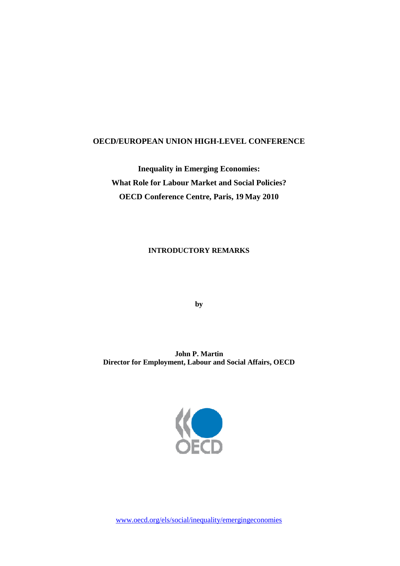## **OECD/EUROPEAN UNION HIGH-LEVEL CONFERENCE**

**Inequality in Emerging Economies: What Role for Labour Market and Social Policies? OECD Conference Centre, Paris, 19 May 2010**

## **INTRODUCTORY REMARKS**

**by**

**John P. Martin Director for Employment, Labour and Social Affairs, OECD**



www.oecd.org/els/social/inequality/emergingeconomies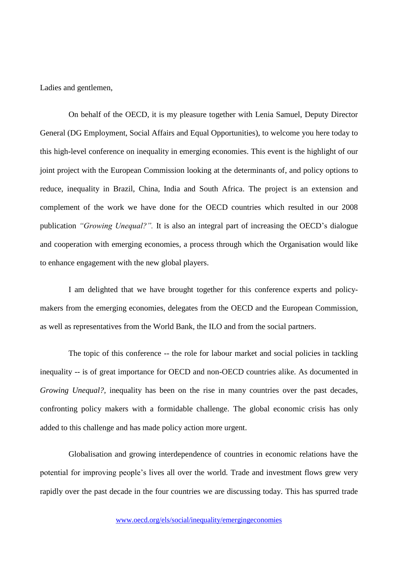Ladies and gentlemen,

On behalf of the OECD, it is my pleasure together with Lenia Samuel, Deputy Director General (DG Employment, Social Affairs and Equal Opportunities), to welcome you here today to this high-level conference on inequality in emerging economies. This event is the highlight of our joint project with the European Commission looking at the determinants of, and policy options to reduce, inequality in Brazil, China, India and South Africa. The project is an extension and complement of the work we have done for the OECD countries which resulted in our 2008 publication *"Growing Unequal?".* It is also an integral part of increasing the OECD's dialogue and cooperation with emerging economies, a process through which the Organisation would like to enhance engagement with the new global players.

I am delighted that we have brought together for this conference experts and policymakers from the emerging economies, delegates from the OECD and the European Commission, as well as representatives from the World Bank, the ILO and from the social partners.

The topic of this conference -- the role for labour market and social policies in tackling inequality -- is of great importance for OECD and non-OECD countries alike. As documented in *Growing Unequal?*, inequality has been on the rise in many countries over the past decades, confronting policy makers with a formidable challenge. The global economic crisis has only added to this challenge and has made policy action more urgent.

Globalisation and growing interdependence of countries in economic relations have the potential for improving people's lives all over the world. Trade and investment flows grew very rapidly over the past decade in the four countries we are discussing today. This has spurred trade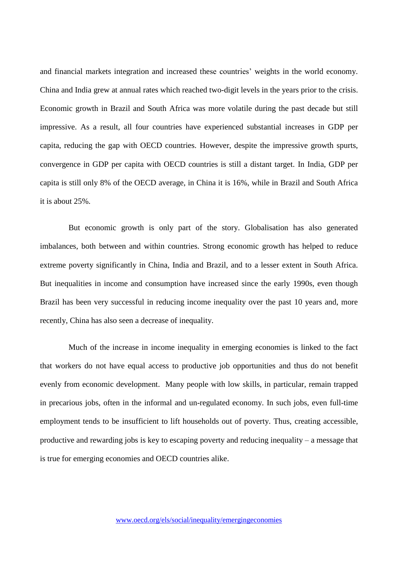and financial markets integration and increased these countries' weights in the world economy. China and India grew at annual rates which reached two-digit levels in the years prior to the crisis. Economic growth in Brazil and South Africa was more volatile during the past decade but still impressive. As a result, all four countries have experienced substantial increases in GDP per capita, reducing the gap with OECD countries. However, despite the impressive growth spurts, convergence in GDP per capita with OECD countries is still a distant target. In India, GDP per capita is still only 8% of the OECD average, in China it is 16%, while in Brazil and South Africa it is about 25%.

But economic growth is only part of the story. Globalisation has also generated imbalances, both between and within countries. Strong economic growth has helped to reduce extreme poverty significantly in China, India and Brazil, and to a lesser extent in South Africa. But inequalities in income and consumption have increased since the early 1990s, even though Brazil has been very successful in reducing income inequality over the past 10 years and, more recently, China has also seen a decrease of inequality.

Much of the increase in income inequality in emerging economies is linked to the fact that workers do not have equal access to productive job opportunities and thus do not benefit evenly from economic development. Many people with low skills, in particular, remain trapped in precarious jobs, often in the informal and un-regulated economy. In such jobs, even full-time employment tends to be insufficient to lift households out of poverty. Thus, creating accessible, productive and rewarding jobs is key to escaping poverty and reducing inequality – a message that is true for emerging economies and OECD countries alike.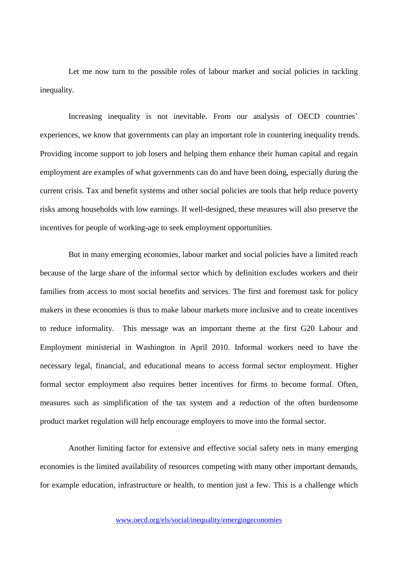Let me now turn to the possible roles of labour market and social policies in tackling inequality.

Increasing inequality is not inevitable. From our analysis of OECD countries' experiences, we know that governments can play an important role in countering inequality trends. Providing income support to job losers and helping them enhance their human capital and regain employment are examples of what governments can do and have been doing, especially during the current crisis. Tax and benefit systems and other social policies are tools that help reduce poverty risks among households with low earnings. If well-designed, these measures will also preserve the incentives for people of working-age to seek employment opportunities.

But in many emerging economies, labour market and social policies have a limited reach because of the large share of the informal sector which by definition excludes workers and their families from access to most social benefits and services. The first and foremost task for policy makers in these economies is thus to make labour markets more inclusive and to create incentives to reduce informality. This message was an important theme at the first G20 Labour and Employment ministerial in Washington in April 2010. Informal workers need to have the necessary legal, financial, and educational means to access formal sector employment. Higher formal sector employment also requires better incentives for firms to become formal. Often, measures such as simplification of the tax system and a reduction of the often burdensome product market regulation will help encourage employers to move into the formal sector.

Another limiting factor for extensive and effective social safety nets in many emerging economies is the limited availability of resources competing with many other important demands, for example education, infrastructure or health, to mention just a few. This is a challenge which